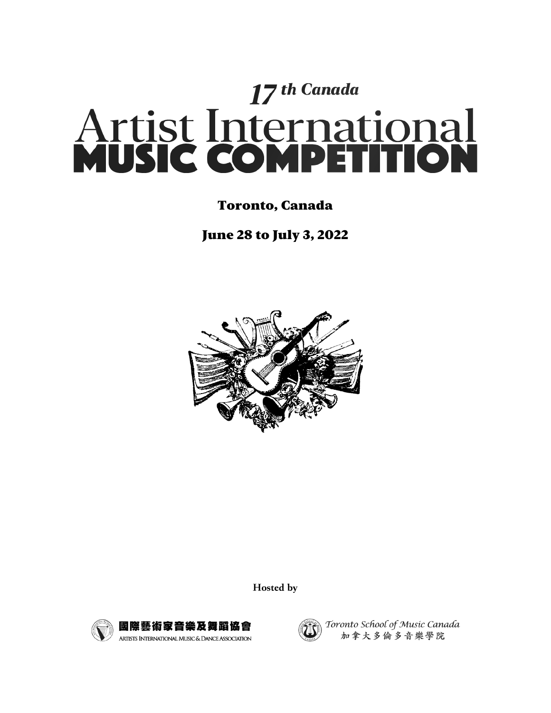

# Toronto, Canada

June 28 to July 3, 2022



Hosted by





Toronto School of Music Canada 加拿大多倫多音樂學院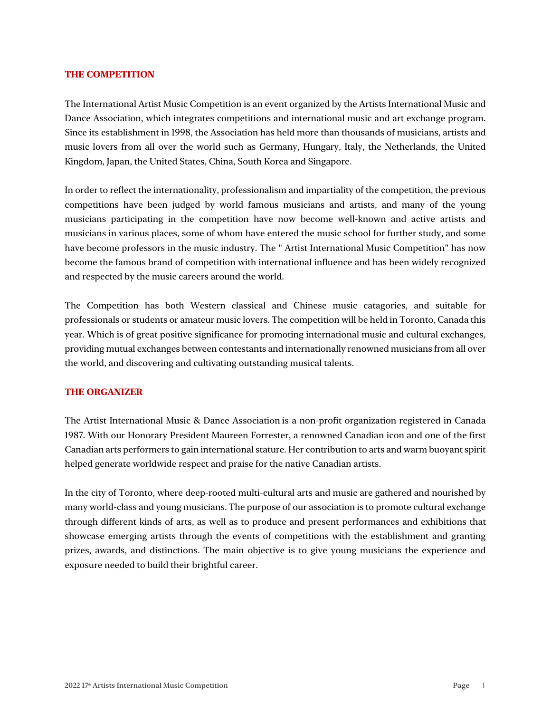# **THE COMPETITION**

The International Artist Music Competition is an event organized by the Artists International Music and Dance Association, which integrates competitions and international music and art exchange program. Since its establishment in 1998, the Association has held more than thousands of musicians, artists and music lovers from all over the world such as Germany, Hungary, Italy, the Netherlands, the United Kingdom, Japan, the United States, China, South Korea and Singapore.

In order to reflect the internationality, professionalism and impartiality of the competition, the previous competitions have been judged by world famous musicians and artists, and many of the young musicians participating in the competition have now become well-known and active artists and musicians in various places, some of whom have entered the music school for further study, and some have become professors in the music industry. The " Artist International Music Competition" has now become the famous brand of competition with international influence and has been widely recognized and respected by the music careers around the world.

The Competition has both Western classical and Chinese music catagories, and suitable for professionals or students or amateur music lovers. The competition will be held in Toronto, Canada this year. Which is of great positive significance for promoting international music and cultural exchanges, providing mutual exchanges between contestants and internationally renowned musicians from all over the world, and discovering and cultivating outstanding musical talents.

# **THE ORGANIZER**

The Artist International Music & Dance Association is a non-profit organization registered in Canada 1987. With our Honorary President Maureen Forrester, a renowned Canadian icon and one of the first Canadian arts performers to gain international stature. Her contribution to arts and warm buoyant spirit helped generate worldwide respect and praise for the native Canadian artists.

In the city of Toronto, where deep-rooted multi-cultural arts and music are gathered and nourished by many world-class and young musicians. The purpose of our association is to promote cultural exchange through different kinds of arts, as well as to produce and present performances and exhibitions that showcase emerging artists through the events of competitions with the establishment and granting prizes, awards, and distinctions. The main objective is to give young musicians the experience and exposure needed to build their brightful career.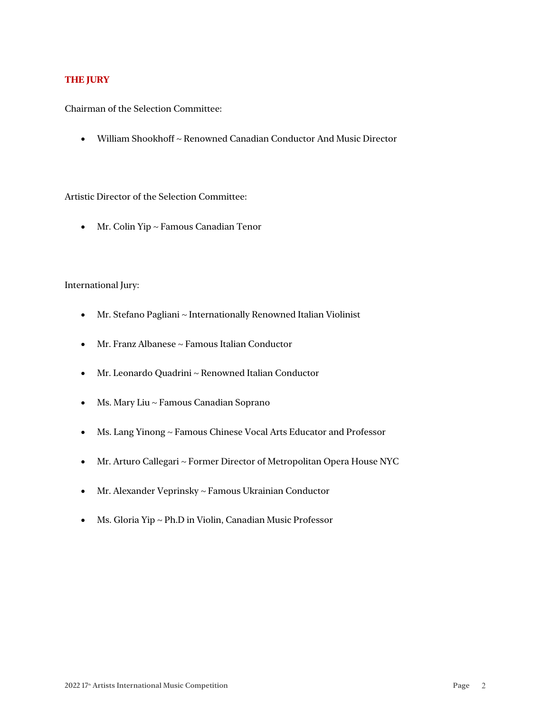# **THE JURY**

Chairman of the Selection Committee:

• William Shookhoff ~ Renowned Canadian Conductor And Music Director

Artistic Director of the Selection Committee:

• Mr. Colin Yip ~ Famous Canadian Tenor

# International Jury:

- Mr. Stefano Pagliani ~ Internationally Renowned Italian Violinist
- Mr. Franz Albanese ~ Famous Italian Conductor
- Mr. Leonardo Quadrini ~ Renowned Italian Conductor
- Ms. Mary Liu ~ Famous Canadian Soprano
- Ms. Lang Yinong ~ Famous Chinese Vocal Arts Educator and Professor
- Mr. Arturo Callegari ~ Former Director of Metropolitan Opera House NYC
- Mr. Alexander Veprinsky ~ Famous Ukrainian Conductor
- Ms. Gloria Yip ~ Ph.D in Violin, Canadian Music Professor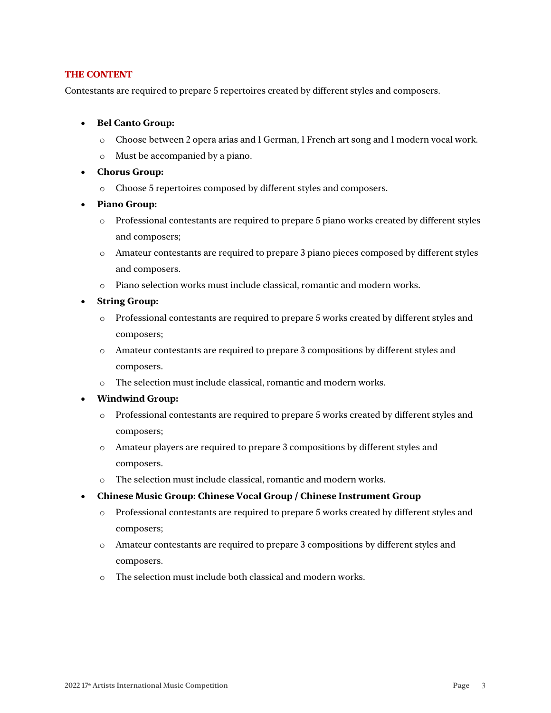# **THE CONTENT**

Contestants are required to prepare 5 repertoires created by different styles and composers.

- **Bel Canto Group:**
	- o Choose between 2 opera arias and 1 German, 1 French art song and 1 modern vocal work.
	- o Must be accompanied by a piano.
- **Chorus Group:**
	- o Choose 5 repertoires composed by different styles and composers.
- **Piano Group:**
	- $\circ$  Professional contestants are required to prepare 5 piano works created by different styles and composers;
	- o Amateur contestants are required to prepare 3 piano pieces composed by different styles and composers.
	- o Piano selection works must include classical, romantic and modern works.
- **String Group:**
	- $\circ$  Professional contestants are required to prepare 5 works created by different styles and composers;
	- o Amateur contestants are required to prepare 3 compositions by different styles and composers.
	- o The selection must include classical, romantic and modern works.
- **Windwind Group:**
	- o Professional contestants are required to prepare 5 works created by different styles and composers;
	- o Amateur players are required to prepare 3 compositions by different styles and composers.
	- o The selection must include classical, romantic and modern works.
- **Chinese Music Group: Chinese Vocal Group / Chinese Instrument Group**
	- o Professional contestants are required to prepare 5 works created by different styles and composers;
	- o Amateur contestants are required to prepare 3 compositions by different styles and composers.
	- o The selection must include both classical and modern works.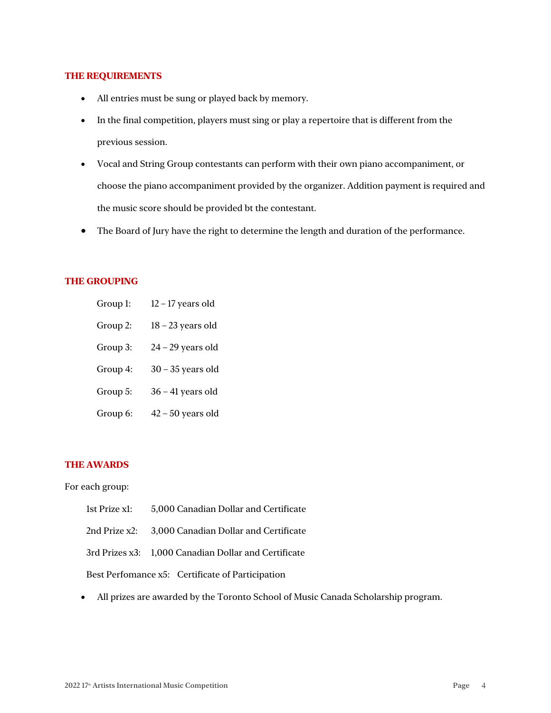#### **THE REQUIREMENTS**

- All entries must be sung or played back by memory.
- In the final competition, players must sing or play a repertoire that is different from the previous session.
- Vocal and String Group contestants can perform with their own piano accompaniment, or choose the piano accompaniment provided by the organizer. Addition payment is required and the music score should be provided bt the contestant.
- The Board of Jury have the right to determine the length and duration of the performance.

# **THE GROUPING**

- Group 1: 12 17 years old
- Group 2: 18 23 years old
- Group 3:  $24 29$  years old
- Group 4: 30 35 years old
- Group 5:  $36 41$  years old
- Group 6:  $42 50$  years old

#### **THE AWARDS**

#### For each group:

- 1st Prize x1: 5,000 Canadian Dollar and Certificate
- 2nd Prize x2: 3,000 Canadian Dollar and Certificate

3rd Prizes x3: 1,000 Canadian Dollar and Certificate

Best Perfomance x5: Certificate of Participation

• All prizes are awarded by the Toronto School of Music Canada Scholarship program.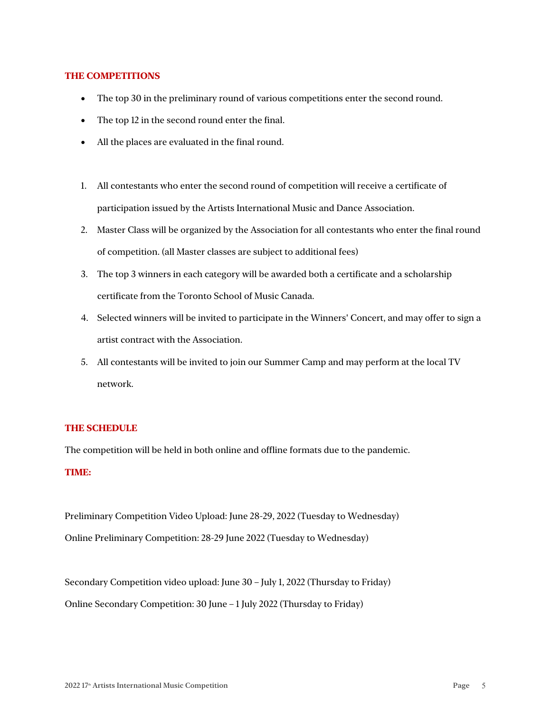## **THE COMPETITIONS**

- The top 30 in the preliminary round of various competitions enter the second round.
- The top 12 in the second round enter the final.
- All the places are evaluated in the final round.
- 1. All contestants who enter the second round of competition will receive a certificate of participation issued by the Artists International Music and Dance Association.
- 2. Master Class will be organized by the Association for all contestants who enter the final round of competition. (all Master classes are subject to additional fees)
- 3. The top 3 winners in each category will be awarded both a certificate and a scholarship certificate from the Toronto School of Music Canada.
- 4. Selected winners will be invited to participate in the Winners' Concert, and may offer to sign a artist contract with the Association.
- 5. All contestants will be invited to join our Summer Camp and may perform at the local TV network.

#### **THE SCHEDULE**

The competition will be held in both online and offline formats due to the pandemic.

# **TIME:**

Preliminary Competition Video Upload: June 28-29, 2022 (Tuesday to Wednesday) Online Preliminary Competition: 28-29 June 2022 (Tuesday to Wednesday)

Secondary Competition video upload: June 30 – July 1, 2022 (Thursday to Friday) Online Secondary Competition: 30 June – 1 July 2022 (Thursday to Friday)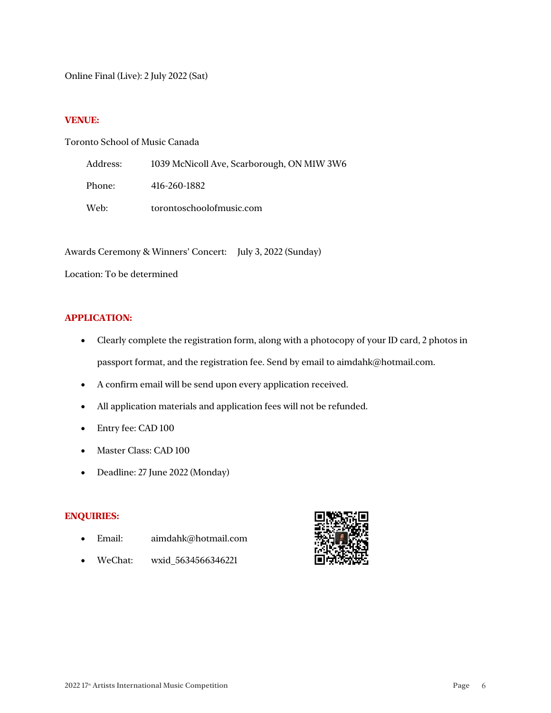Online Final (Live): 2 July 2022 (Sat)

# **VENUE:**

# Toronto School of Music Canada

| Address: | 1039 McNicoll Ave, Scarborough, ON M1W 3W6 |
|----------|--------------------------------------------|
| Phone:   | 416-260-1882                               |
| Web:     | torontoschoolofmusic.com                   |

Awards Ceremony & Winners' Concert: July 3, 2022 (Sunday)

Location: To be determined

# **APPLICATION:**

- Clearly complete the registration form, along with a photocopy of your ID card, 2 photos in passport format, and the registration fee. Send by email to aimdahk@hotmail.com.
- A confirm email will be send upon every application received.
- All application materials and application fees will not be refunded.
- Entry fee: CAD 100
- Master Class: CAD 100
- Deadline: 27 June 2022 (Monday)

# **ENQUIRIES:**

- Email: aimdahk@hotmail.com
- WeChat: wxid\_5634566346221

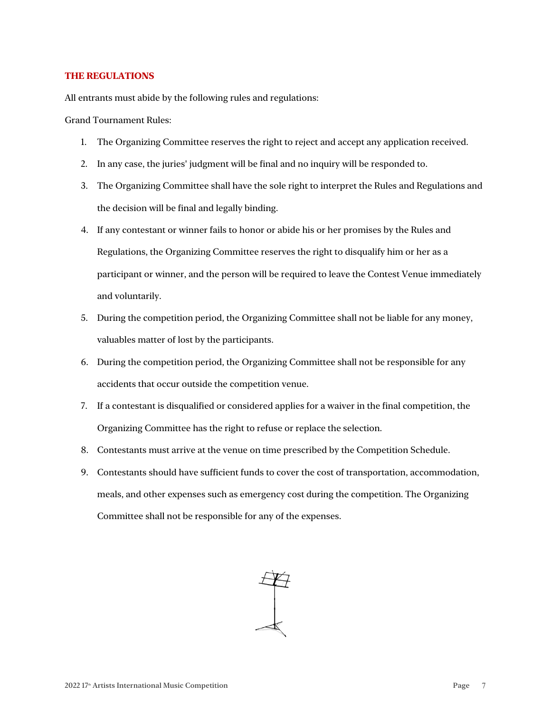# **THE REGULATIONS**

All entrants must abide by the following rules and regulations:

Grand Tournament Rules:

- 1. The Organizing Committee reserves the right to reject and accept any application received.
- 2. In any case, the juries' judgment will be final and no inquiry will be responded to.
- 3. The Organizing Committee shall have the sole right to interpret the Rules and Regulations and the decision will be final and legally binding.
- 4. If any contestant or winner fails to honor or abide his or her promises by the Rules and Regulations, the Organizing Committee reserves the right to disqualify him or her as a participant or winner, and the person will be required to leave the Contest Venue immediately and voluntarily.
- 5. During the competition period, the Organizing Committee shall not be liable for any money, valuables matter of lost by the participants.
- 6. During the competition period, the Organizing Committee shall not be responsible for any accidents that occur outside the competition venue.
- 7. If a contestant is disqualified or considered applies for a waiver in the final competition, the Organizing Committee has the right to refuse or replace the selection.
- 8. Contestants must arrive at the venue on time prescribed by the Competition Schedule.
- 9. Contestants should have sufficient funds to cover the cost of transportation, accommodation, meals, and other expenses such as emergency cost during the competition. The Organizing Committee shall not be responsible for any of the expenses.